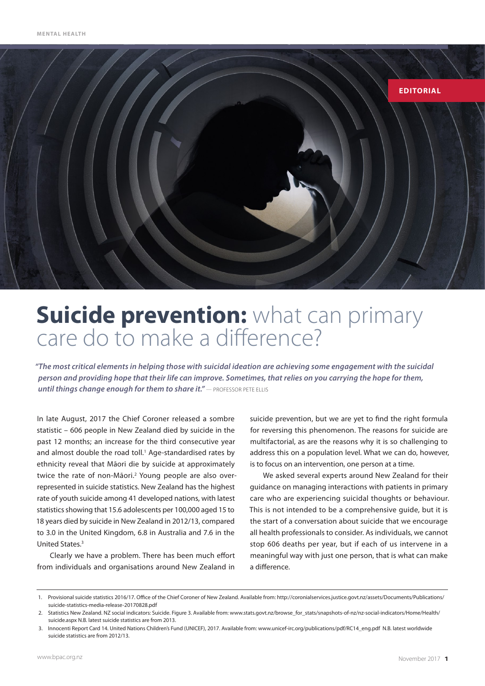

# **Suicide prevention:** what can primary care do to make a difference?

*"The most critical elements in helping those with suicidal ideation are achieving some engagement with the suicidal person and providing hope that their life can improve. Sometimes, that relies on you carrying the hope for them,*  **until things change enough for them to share it."** – PROFESSOR PETE ELLIS

In late August, 2017 the Chief Coroner released a sombre statistic – 606 people in New Zealand died by suicide in the past 12 months; an increase for the third consecutive year and almost double the road toll.<sup>1</sup> Age-standardised rates by ethnicity reveal that Māori die by suicide at approximately twice the rate of non-Māori.<sup>2</sup> Young people are also overrepresented in suicide statistics. New Zealand has the highest rate of youth suicide among 41 developed nations, with latest statistics showing that 15.6 adolescents per 100,000 aged 15 to 18 years died by suicide in New Zealand in 2012/13, compared to 3.0 in the United Kingdom, 6.8 in Australia and 7.6 in the United States.3

Clearly we have a problem. There has been much effort from individuals and organisations around New Zealand in suicide prevention, but we are yet to find the right formula for reversing this phenomenon. The reasons for suicide are multifactorial, as are the reasons why it is so challenging to address this on a population level. What we can do, however, is to focus on an intervention, one person at a time.

We asked several experts around New Zealand for their guidance on managing interactions with patients in primary care who are experiencing suicidal thoughts or behaviour. This is not intended to be a comprehensive guide, but it is the start of a conversation about suicide that we encourage all health professionals to consider. As individuals, we cannot stop 606 deaths per year, but if each of us intervene in a meaningful way with just one person, that is what can make a difference.

<sup>1.</sup> Provisional suicide statistics 2016/17. Office of the Chief Coroner of New Zealand. Available from: http://coronialservices.justice.govt.nz/assets/Documents/Publications/ suicide-statistics-media-release-20170828.pdf

<sup>2.</sup> Statistics New Zealand. NZ social indicators: Suicide. Figure 3. Available from: www.stats.govt.nz/browse\_for\_stats/snapshots-of-nz/nz-social-indicators/Home/Health/ suicide.aspx N.B. latest suicide statistics are from 2013.

<sup>3.</sup> Innocenti Report Card 14. United Nations Children's Fund (UNICEF), 2017. Available from: www.unicef-irc.org/publications/pdf/RC14\_eng.pdf N.B. latest worldwide suicide statistics are from 2012/13.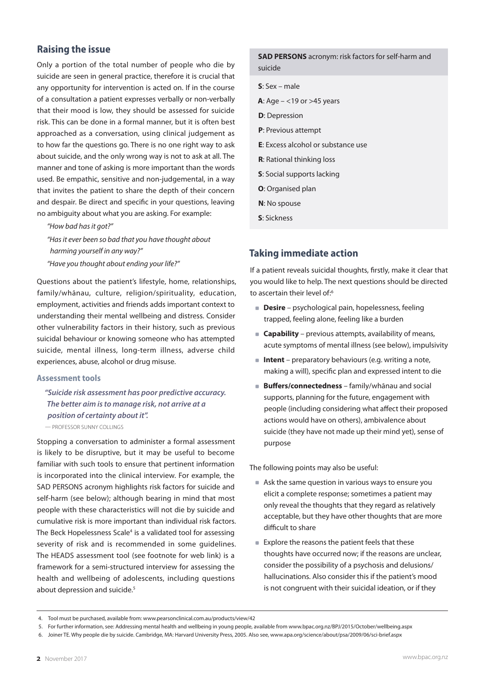## **Raising the issue**

Only a portion of the total number of people who die by suicide are seen in general practice, therefore it is crucial that any opportunity for intervention is acted on. If in the course of a consultation a patient expresses verbally or non-verbally that their mood is low, they should be assessed for suicide risk. This can be done in a formal manner, but it is often best approached as a conversation, using clinical judgement as to how far the questions go. There is no one right way to ask about suicide, and the only wrong way is not to ask at all. The manner and tone of asking is more important than the words used. Be empathic, sensitive and non-judgemental, in a way that invites the patient to share the depth of their concern and despair. Be direct and specific in your questions, leaving no ambiguity about what you are asking. For example:

*"How bad has it got?" "Has it ever been so bad that you have thought about harming yourself in any way?" "Have you thought about ending your life?"*

Questions about the patient's lifestyle, home, relationships, family/whānau, culture, religion/spirituality, education, employment, activities and friends adds important context to understanding their mental wellbeing and distress. Consider other vulnerability factors in their history, such as previous suicidal behaviour or knowing someone who has attempted suicide, mental illness, long-term illness, adverse child experiences, abuse, alcohol or drug misuse.

#### **Assessment tools**

*"Suicide risk assessment has poor predictive accuracy. The better aim is to manage risk, not arrive at a position of certainty about it".* 

— Professor Sunny Collings

Stopping a conversation to administer a formal assessment is likely to be disruptive, but it may be useful to become familiar with such tools to ensure that pertinent information is incorporated into the clinical interview. For example, the SAD PERSONS acronym highlights risk factors for suicide and self-harm (see below); although bearing in mind that most people with these characteristics will not die by suicide and cumulative risk is more important than individual risk factors. The Beck Hopelessness Scale<sup>4</sup> is a validated tool for assessing severity of risk and is recommended in some guidelines. The HEADS assessment tool (see footnote for web link) is a framework for a semi-structured interview for assessing the health and wellbeing of adolescents, including questions about depression and suicide.<sup>5</sup>

#### **SAD PERSONS** acronym: risk factors for self-harm and suicide

- **S**: Sex male
- **A**: Age <19 or >45 years
- **D**: Depression
- **P**: Previous attempt
- **E**: Excess alcohol or substance use
- **R**: Rational thinking loss
- **S**: Social supports lacking
- **O**: Organised plan
- **N**: No spouse
- **S**: Sickness

## **Taking immediate action**

If a patient reveals suicidal thoughts, firstly, make it clear that you would like to help. The next questions should be directed to ascertain their level of:<sup>6</sup>

- **Desire** psychological pain, hopelessness, feeling trapped, feeling alone, feeling like a burden
- **Capability** previous attempts, availability of means, acute symptoms of mental illness (see below), impulsivity
- **Intent** preparatory behaviours (e.g. writing a note, making a will), specific plan and expressed intent to die
- **Buffers/connectedness** family/whānau and social supports, planning for the future, engagement with people (including considering what affect their proposed actions would have on others), ambivalence about suicide (they have not made up their mind yet), sense of purpose

The following points may also be useful:

- Ask the same question in various ways to ensure you elicit a complete response; sometimes a patient may only reveal the thoughts that they regard as relatively acceptable, but they have other thoughts that are more difficult to share
- Explore the reasons the patient feels that these thoughts have occurred now; if the reasons are unclear, consider the possibility of a psychosis and delusions/ hallucinations. Also consider this if the patient's mood is not congruent with their suicidal ideation, or if they

<sup>4.</sup> Tool must be purchased, available from: www.pearsonclinical.com.au/products/view/42

<sup>5.</sup> For further information, see: Addressing mental health and wellbeing in young people, available from www.bpac.org.nz/BPJ/2015/October/wellbeing.aspx

<sup>6.</sup> Joiner TE. Why people die by suicide. Cambridge, MA: Harvard University Press, 2005. Also see, www.apa.org/science/about/psa/2009/06/sci-brief.aspx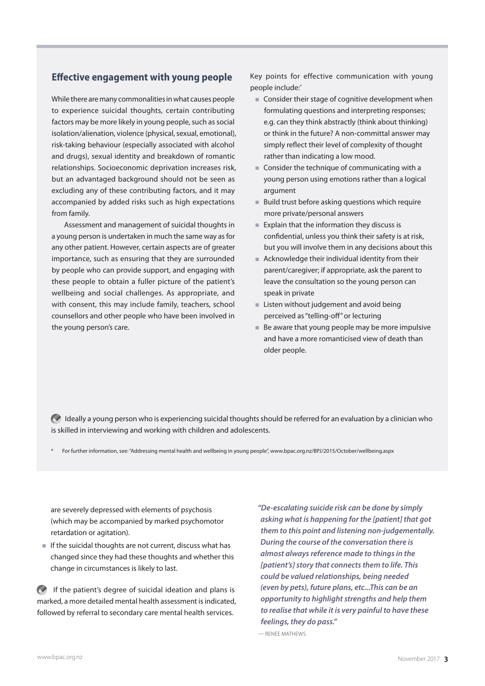## **Effective engagement with young people**

While there are many commonalities in what causes people to experience suicidal thoughts, certain contributing factors may be more likely in young people, such as social isolation/alienation, violence (physical, sexual, emotional), risk-taking behaviour (especially associated with alcohol and drugs), sexual identity and breakdown of romantic relationships. Socioeconomic deprivation increases risk, but an advantaged background should not be seen as excluding any of these contributing factors, and it may accompanied by added risks such as high expectations from family.

Assessment and management of suicidal thoughts in a young person is undertaken in much the same way as for any other patient. However, certain aspects are of greater importance, such as ensuring that they are surrounded by people who can provide support, and engaging with these people to obtain a fuller picture of the patient's wellbeing and social challenges. As appropriate, and with consent, this may include family, teachers, school counsellors and other people who have been involved in the young person's care.

Key points for effective communication with young people include:\*

- Consider their stage of cognitive development when formulating questions and interpreting responses; e.g. can they think abstractly (think about thinking) or think in the future? A non-committal answer may simply reflect their level of complexity of thought rather than indicating a low mood.
- Consider the technique of communicating with a young person using emotions rather than a logical argument
- $\blacksquare$ Build trust before asking questions which require more private/personal answers
- Explain that the information they discuss is confidential, unless you think their safety is at risk, but you will involve them in any decisions about this
- Acknowledge their individual identity from their parent/caregiver; if appropriate, ask the parent to leave the consultation so the young person can speak in private
- **Example 2** Listen without judgement and avoid being perceived as "telling-off" or lecturing
- Be aware that young people may be more impulsive and have a more romanticised view of death than older people.

 $\bullet$  Ideally a young person who is experiencing suicidal thoughts should be referred for an evaluation by a clinician who is skilled in interviewing and working with children and adolescents.

For further information, see: "Addressing mental health and wellbeing in young people", www.bpac.org.nz/BPJ/2015/October/wellbeing.aspx

are severely depressed with elements of psychosis (which may be accompanied by marked psychomotor retardation or agitation).

 $\blacksquare$  If the suicidal thoughts are not current, discuss what has changed since they had these thoughts and whether this change in circumstances is likely to last.

 $\bullet$  If the patient's degree of suicidal ideation and plans is marked, a more detailed mental health assessment is indicated, followed by referral to secondary care mental health services.

*"De-escalating suicide risk can be done by simply asking what is happening for the [patient] that got them to this point and listening non-judgementally. During the course of the conversation there is almost always reference made to things in the [patient's] story that connects them to life. This could be valued relationships, being needed (even by pets), future plans, etc...This can be an opportunity to highlight strengths and help them to realise that while it is very painful to have these feelings, they do pass."* 

— Renee Mathews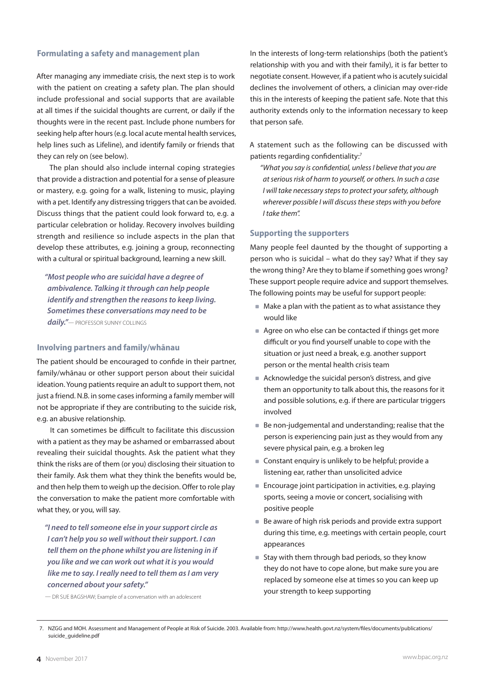#### **Formulating a safety and management plan**

After managing any immediate crisis, the next step is to work with the patient on creating a safety plan. The plan should include professional and social supports that are available at all times if the suicidal thoughts are current, or daily if the thoughts were in the recent past. Include phone numbers for seeking help after hours (e.g. local acute mental health services, help lines such as Lifeline), and identify family or friends that they can rely on (see below).

The plan should also include internal coping strategies that provide a distraction and potential for a sense of pleasure or mastery, e.g. going for a walk, listening to music, playing with a pet. Identify any distressing triggers that can be avoided. Discuss things that the patient could look forward to, e.g. a particular celebration or holiday. Recovery involves building strength and resilience so include aspects in the plan that develop these attributes, e.g. joining a group, reconnecting with a cultural or spiritual background, learning a new skill.

*"Most people who are suicidal have a degree of ambivalence. Talking it through can help people identify and strengthen the reasons to keep living. Sometimes these conversations may need to be*  daily."- PROFESSOR SUNNY COLLINGS

#### **Involving partners and family/whānau**

The patient should be encouraged to confide in their partner, family/whānau or other support person about their suicidal ideation. Young patients require an adult to support them, not just a friend. N.B. in some cases informing a family member will not be appropriate if they are contributing to the suicide risk, e.g. an abusive relationship.

It can sometimes be difficult to facilitate this discussion with a patient as they may be ashamed or embarrassed about revealing their suicidal thoughts. Ask the patient what they think the risks are of them (or you) disclosing their situation to their family. Ask them what they think the benefits would be, and then help them to weigh up the decision. Offer to role play the conversation to make the patient more comfortable with what they, or you, will say.

*"I need to tell someone else in your support circle as I can't help you so well without their support. I can tell them on the phone whilst you are listening in if you like and we can work out what it is you would like me to say. I really need to tell them as I am very concerned about your safety."*

— Dr Sue Bagshaw; Example of a conversation with an adolescent

In the interests of long-term relationships (both the patient's relationship with you and with their family), it is far better to negotiate consent. However, if a patient who is acutely suicidal declines the involvement of others, a clinician may over-ride this in the interests of keeping the patient safe. Note that this authority extends only to the information necessary to keep that person safe.

A statement such as the following can be discussed with patients regarding confidentiality:<sup>7</sup>

*"What you say is confidential, unless I believe that you are at serious risk of harm to yourself, or others. In such a case I will take necessary steps to protect your safety, although wherever possible I will discuss these steps with you before I take them".*

#### **Supporting the supporters**

Many people feel daunted by the thought of supporting a person who is suicidal – what do they say? What if they say the wrong thing? Are they to blame if something goes wrong? These support people require advice and support themselves. The following points may be useful for support people:

- Make a plan with the patient as to what assistance they would like
- Agree on who else can be contacted if things get more difficult or you find yourself unable to cope with the situation or just need a break, e.g. another support person or the mental health crisis team
- Acknowledge the suicidal person's distress, and give them an opportunity to talk about this, the reasons for it and possible solutions, e.g. if there are particular triggers involved
- Be non-judgemental and understanding; realise that the person is experiencing pain just as they would from any severe physical pain, e.g. a broken leg
- Constant enquiry is unlikely to be helpful; provide a listening ear, rather than unsolicited advice
- Encourage joint participation in activities, e.g. playing sports, seeing a movie or concert, socialising with positive people
- Be aware of high risk periods and provide extra support during this time, e.g. meetings with certain people, court appearances
- Stay with them through bad periods, so they know they do not have to cope alone, but make sure you are replaced by someone else at times so you can keep up your strength to keep supporting

 <sup>7.</sup> NZGG and MOH. Assessment and Management of People at Risk of Suicide. 2003. Available from: http://www.health.govt.nz/system/files/documents/publications/ suicide\_guideline.pdf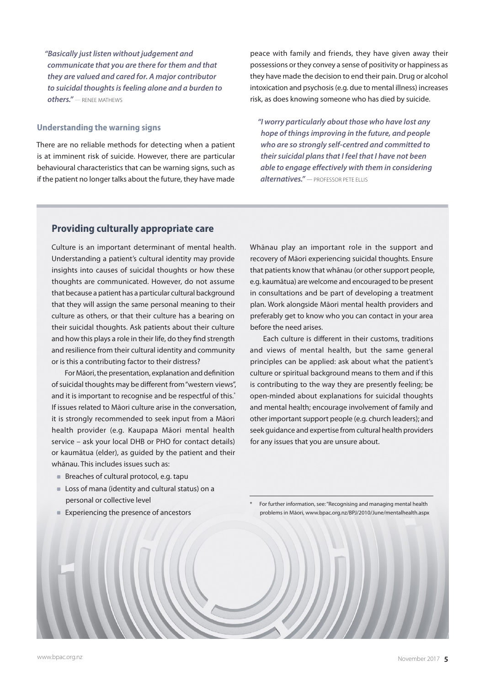*"Basically just listen without judgement and communicate that you are there for them and that they are valued and cared for. A major contributor to suicidal thoughts is feeling alone and a burden to others."* — Renee Mathews

#### **Understanding the warning signs**

There are no reliable methods for detecting when a patient is at imminent risk of suicide. However, there are particular behavioural characteristics that can be warning signs, such as if the patient no longer talks about the future, they have made peace with family and friends, they have given away their possessions or they convey a sense of positivity or happiness as they have made the decision to end their pain. Drug or alcohol intoxication and psychosis (e.g. due to mental illness) increases risk, as does knowing someone who has died by suicide.

*"I worry particularly about those who have lost any hope of things improving in the future, and people who are so strongly self-centred and committed to their suicidal plans that I feel that I have not been able to engage effectively with them in considering alternatives."* — PROFESSOR PETE ELLIS

## **Providing culturally appropriate care**

Culture is an important determinant of mental health. Understanding a patient's cultural identity may provide insights into causes of suicidal thoughts or how these thoughts are communicated. However, do not assume that because a patient has a particular cultural background that they will assign the same personal meaning to their culture as others, or that their culture has a bearing on their suicidal thoughts. Ask patients about their culture and how this plays a role in their life, do they find strength and resilience from their cultural identity and community or is this a contributing factor to their distress?

For Māori, the presentation, explanation and definition of suicidal thoughts may be different from "western views", and it is important to recognise and be respectful of this.<sup>\*</sup> If issues related to Māori culture arise in the conversation, it is strongly recommended to seek input from a Māori health provider (e.g. Kaupapa Māori mental health service – ask your local DHB or PHO for contact details) or kaumātua (elder), as guided by the patient and their whānau. This includes issues such as:

- Breaches of cultural protocol, e.g. tapu
- Loss of mana (identity and cultural status) on a personal or collective level
- **Experiencing the presence of ancestors**

Whānau play an important role in the support and recovery of Māori experiencing suicidal thoughts. Ensure that patients know that whānau (or other support people, e.g. kaumātua) are welcome and encouraged to be present in consultations and be part of developing a treatment plan. Work alongside Māori mental health providers and preferably get to know who you can contact in your area before the need arises.

Each culture is different in their customs, traditions and views of mental health, but the same general principles can be applied: ask about what the patient's culture or spiritual background means to them and if this is contributing to the way they are presently feeling; be open-minded about explanations for suicidal thoughts and mental health; encourage involvement of family and other important support people (e.g. church leaders); and seek guidance and expertise from cultural health providers for any issues that you are unsure about.

For further information, see: "Recognising and managing mental health problems in Māori, www.bpac.org.nz/BPJ/2010/June/mentalhealth.aspx